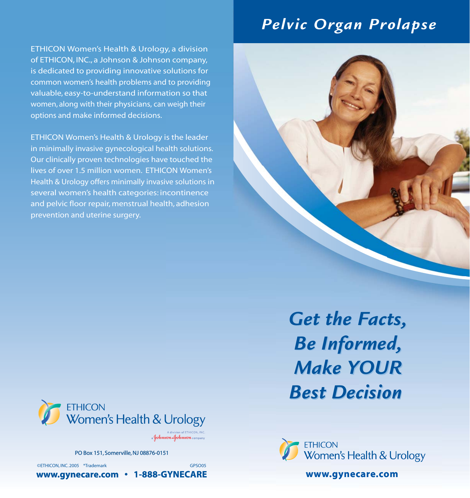# *Pelvic Organ Prolapse*

ETHICON Women's Health & Urology, a division of ETHICON, INC., a Johnson & Johnson company, is dedicated to providing innovative solutions for common women's health problems and to providing valuable, easy-to-understand information so that women, along with their physicians, can weigh their options and make informed decisions.

ETHICON Women's Health & Urology is the leader in minimally invasive gynecological health solutions. Our clinically proven technologies have touched the lives of over 1.5 million women. ETHICON Women's Health & Urology offers minimally invasive solutions in several women's health categories: incontinence and pelvic floor repair, menstrual health, adhesion prevention and uterine surgery.



*Get the Facts, Get the Facts, Be Informed, Be Informed, Make YOUR Make YOUR Best Decision Best Decision* 



a Johnson & Johnson compa

PO Box 151, Somerville, NJ 08876-0151

©ETHICON, INC. 2005 \*Trademark GPSO05

**www.gynecare.com • 1-888-GYNECARE www.gynecare.com www.gynecare.com**

ETHICON<br>Women's Health & Urology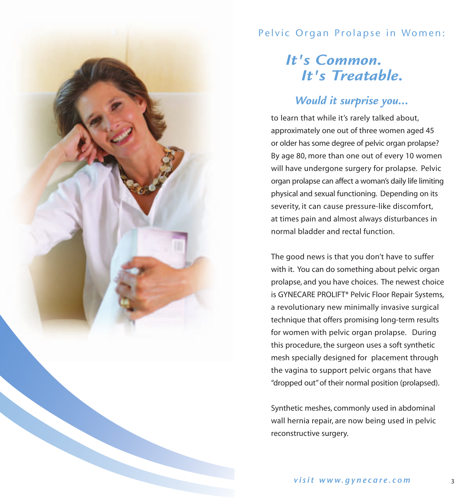

#### Pelvic Organ Prolapse in Women:

# *It's Common. It's Treatable.*

# *Would it surprise you...*

to learn that while it's rarely talked about, approximately one out of three women aged 45 or older has some degree of pelvic organ prolapse? By age 80, more than one out of every 10 women will have undergone surgery for prolapse. Pelvic organ prolapse can affect a woman's daily life limiting physical and sexual functioning. Depending on its severity, it can cause pressure-like discomfort, at times pain and almost always disturbances in normal bladder and rectal function.

The good news is that you don't have to suffer with it. You can do something about pelvic organ prolapse, and you have choices. The newest choice is GYNECARE PROLIFT\* Pelvic Floor Repair Systems, a revolutionary new minimally invasive surgical technique that offers promising long-term results for women with pelvic organ prolapse. During this procedure, the surgeon uses a soft synthetic mesh specially designed for placement through the vagina to support pelvic organs that have "dropped out" of their normal position (prolapsed).

Synthetic meshes, commonly used in abdominal wall hernia repair, are now being used in pelvic reconstructive surgery.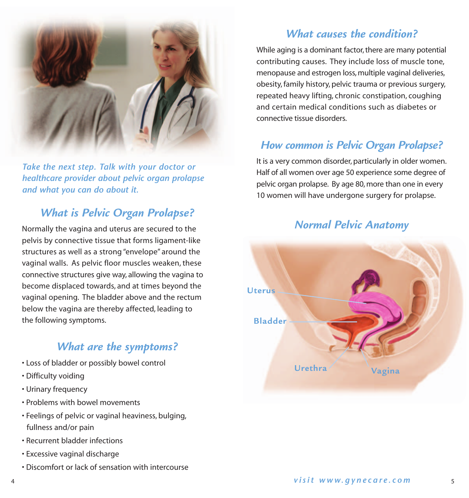

*Take the next step. Talk with your doctor or healthcare provider about pelvic organ prolapse and what you can do about it.* 

### *What is Pelvic Organ Prolapse?*

Normally the vagina and uterus are secured to the pelvis by connective tissue that forms ligament-like structures as well as a strong "envelope" around the vaginal walls. As pelvic floor muscles weaken, these connective structures give way, allowing the vagina to become displaced towards, and at times beyond the vaginal opening. The bladder above and the rectum below the vagina are thereby affected, leading to the following symptoms.

#### *What are the symptoms?*

- Loss of bladder or possibly bowel control
- Difficulty voiding
- Urinary frequency
- Problems with bowel movements
- Feelings of pelvic or vaginal heaviness, bulging, fullness and/or pain
- Recurrent bladder infections
- Excessive vaginal discharge
- Discomfort or lack of sensation with intercourse

## *What causes the condition?*

While aging is a dominant factor, there are many potential contributing causes. They include loss of muscle tone, menopause and estrogen loss, multiple vaginal deliveries, obesity, family history, pelvic trauma or previous surgery, repeated heavy lifting, chronic constipation, coughing and certain medical conditions such as diabetes or connective tissue disorders.

### *How common is Pelvic Organ Prolapse?*

It is a very common disorder, particularly in older women. Half of all women over age 50 experience some degree of pelvic organ prolapse. By age 80, more than one in every 10 women will have undergone surgery for prolapse.

#### *Normal Pelvic Anatomy*

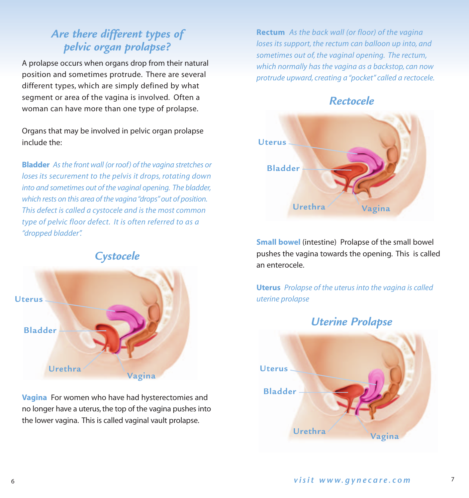# *Are there different types of pelvic organ prolapse?*

A prolapse occurs when organs drop from their natural position and sometimes protrude. There are several different types, which are simply defined by what segment or area of the vagina is involved. Often a woman can have more than one type of prolapse.

Organs that may be involved in pelvic organ prolapse include the:

**Bladder** *As the front wall (or roof) of the vagina stretches or loses its securement to the pelvis it drops, rotating down into and sometimes out of the vaginal opening. The bladder, which rests on this area of the vagina "drops" out of position. This defect is called a cystocele and is the most common type of pelvic floor defect. It is often referred to as a "dropped bladder".*



**Vagina** For women who have had hysterectomies and no longer have a uterus, the top of the vagina pushes into the lower vagina. This is called vaginal vault prolapse.

**Rectum** *As the back wall (or floor) of the vagina loses its support, the rectum can balloon up into, and sometimes out of, the vaginal opening. The rectum, which normally has the vagina as a backstop, can now protrude upward, creating a "pocket" called a rectocele.*

#### *Rectocele*



**Small bowel** (intestine) Prolapse of the small bowel pushes the vagina towards the opening. This is called an enterocele.

**Uterus** *Prolapse of the uterus into the vagina is called uterine prolapse*

#### *Uterine Prolapse*

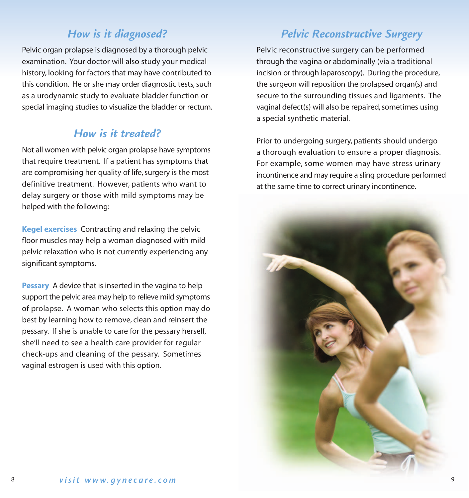## *How is it diagnosed?*

Pelvic organ prolapse is diagnosed by a thorough pelvic examination. Your doctor will also study your medical history, looking for factors that may have contributed to this condition. He or she may order diagnostic tests, such as a urodynamic study to evaluate bladder function or special imaging studies to visualize the bladder or rectum.

#### *How is it treated?*

Not all women with pelvic organ prolapse have symptoms that require treatment. If a patient has symptoms that are compromising her quality of life, surgery is the most definitive treatment. However, patients who want to delay surgery or those with mild symptoms may be helped with the following:

**Kegel exercises** Contracting and relaxing the pelvic floor muscles may help a woman diagnosed with mild pelvic relaxation who is not currently experiencing any significant symptoms.

**Pessary** A device that is inserted in the vagina to help support the pelvic area may help to relieve mild symptoms of prolapse. A woman who selects this option may do best by learning how to remove, clean and reinsert the pessary. If she is unable to care for the pessary herself, she'll need to see a health care provider for regular check-ups and cleaning of the pessary. Sometimes vaginal estrogen is used with this option.

### *Pelvic Reconstructive Surgery*

Pelvic reconstructive surgery can be performed through the vagina or abdominally (via a traditional incision or through laparoscopy). During the procedure, the surgeon will reposition the prolapsed organ(s) and secure to the surrounding tissues and ligaments. The vaginal defect(s) will also be repaired, sometimes using a special synthetic material.

Prior to undergoing surgery, patients should undergo a thorough evaluation to ensure a proper diagnosis. For example, some women may have stress urinary incontinence and may require a sling procedure performed at the same time to correct urinary incontinence.

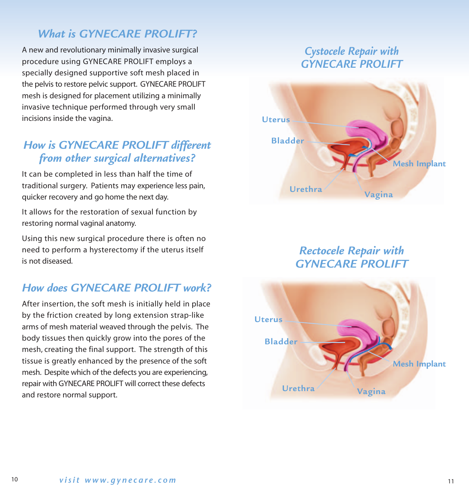### *What is GYNECARE PROLIFT?*

A new and revolutionary minimally invasive surgical procedure using GYNECARE PROLIFT employs a specially designed supportive soft mesh placed in the pelvis to restore pelvic support. GYNECARE PROLIFT mesh is designed for placement utilizing a minimally invasive technique performed through very small incisions inside the vagina.

### *How is GYNECARE PROLIFT different from other surgical alternatives?*

It can be completed in less than half the time of traditional surgery. Patients may experience less pain, quicker recovery and go home the next day.

It allows for the restoration of sexual function by restoring normal vaginal anatomy.

Using this new surgical procedure there is often no need to perform a hysterectomy if the uterus itself is not diseased.

### *How does GYNECARE PROLIFT work?*

After insertion, the soft mesh is initially held in place by the friction created by long extension strap-like arms of mesh material weaved through the pelvis. The body tissues then quickly grow into the pores of the mesh, creating the final support. The strength of this tissue is greatly enhanced by the presence of the soft mesh. Despite which of the defects you are experiencing, repair with GYNECARE PROLIFT will correct these defects and restore normal support.

# *Cystocele Repair with GYNECARE PROLIFT*



### *Rectocele Repair with GYNECARE PROLIFT*



10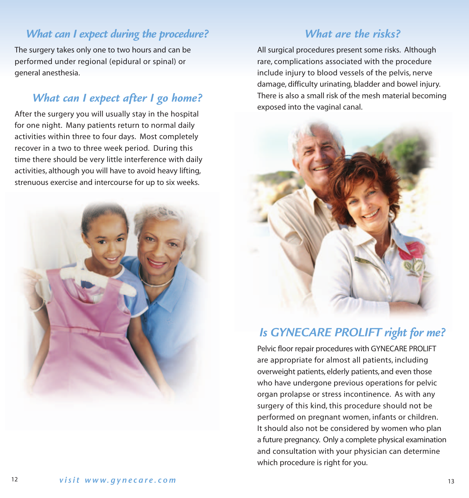### *What can I expect during the procedure?*

The surgery takes only one to two hours and can be performed under regional (epidural or spinal) or general anesthesia.

# *What can I expect after I go home?*

After the surgery you will usually stay in the hospital for one night. Many patients return to normal daily activities within three to four days. Most completely recover in a two to three week period. During this time there should be very little interference with daily activities, although you will have to avoid heavy lifting, strenuous exercise and intercourse for up to six weeks.



# *What are the risks?*

All surgical procedures present some risks. Although rare, complications associated with the procedure include injury to blood vessels of the pelvis, nerve damage, difficulty urinating, bladder and bowel injury. There is also a small risk of the mesh material becoming exposed into the vaginal canal.



# *Is GYNECARE PROLIFT right for me?*

Pelvic floor repair procedures with GYNECARE PROLIFT are appropriate for almost all patients, including overweight patients, elderly patients, and even those who have undergone previous operations for pelvic organ prolapse or stress incontinence. As with any surgery of this kind, this procedure should not be performed on pregnant women, infants or children. It should also not be considered by women who plan a future pregnancy. Only a complete physical examination and consultation with your physician can determine which procedure is right for you.